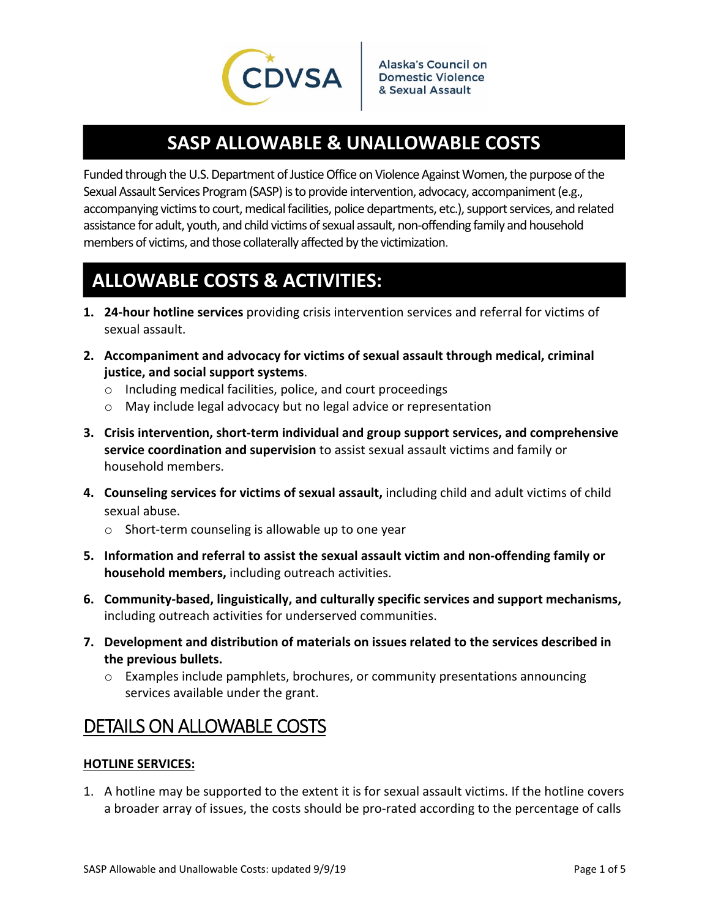

## **SASP ALLOWABLE & UNALLOWABLE COSTS**

Funded through the U.S. Department of Justice Office on Violence Against Women, the purpose of the Sexual Assault Services Program (SASP) is to provide intervention, advocacy, accompaniment (e.g., accompanying victims to court, medical facilities, police departments, etc.), support services, and related assistance for adult, youth, and child victims of sexual assault, non-offending family and household members of victims, and those collaterally affected by the victimization.

# **ALLOWABLE COSTS & ACTIVITIES:**

- **1. 24‐hour hotline services** providing crisis intervention services and referral for victims of sexual assault.
- **2. Accompaniment and advocacy for victims of sexual assault through medical, criminal justice, and social support systems**.
	- o Including medical facilities, police, and court proceedings
	- o May include legal advocacy but no legal advice or representation
- **3. Crisis intervention, short‐term individual and group support services, and comprehensive service coordination and supervision** to assist sexual assault victims and family or household members.
- **4. Counseling services for victims of sexual assault,** including child and adult victims of child sexual abuse.
	- o Short‐term counseling is allowable up to one year
- **5. Information and referral to assist the sexual assault victim and non‐offending family or household members,** including outreach activities.
- **6. Community‐based, linguistically, and culturally specific services and support mechanisms,** including outreach activities for underserved communities.
- **7. Development and distribution of materials on issues related to the services described in the previous bullets.** 
	- o Examples include pamphlets, brochures, or community presentations announcing services available under the grant.

## DETAILS ON ALLOWABLE COSTS

### **HOTLINE SERVICES:**

1. A hotline may be supported to the extent it is for sexual assault victims. If the hotline covers a broader array of issues, the costs should be pro-rated according to the percentage of calls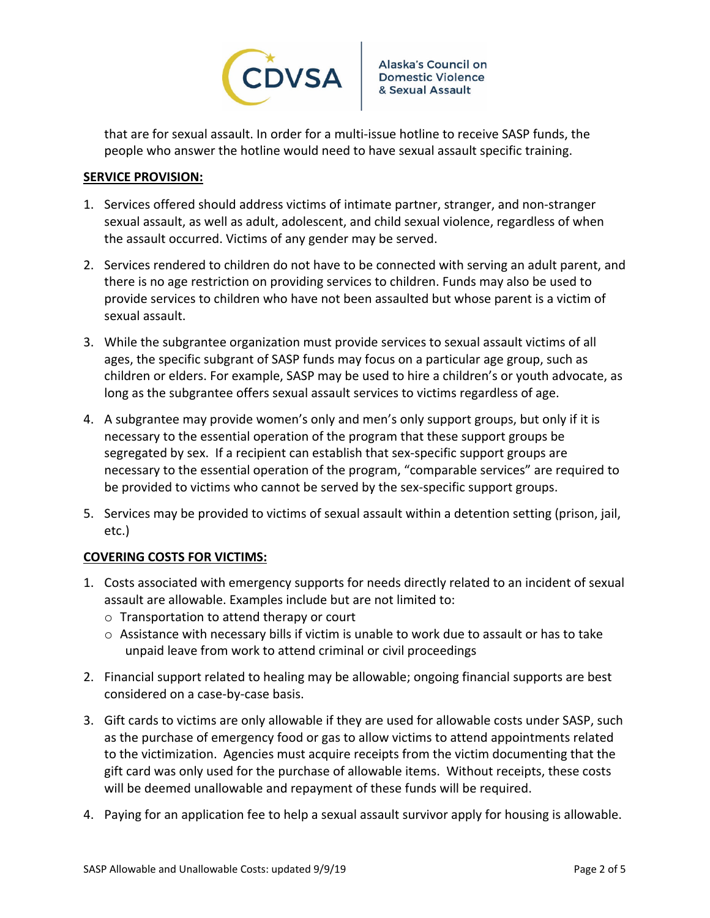

that are for sexual assault. In order for a multi‐issue hotline to receive SASP funds, the people who answer the hotline would need to have sexual assault specific training.

### **SERVICE PROVISION:**

- 1. Services offered should address victims of intimate partner, stranger, and non‐stranger sexual assault, as well as adult, adolescent, and child sexual violence, regardless of when the assault occurred. Victims of any gender may be served.
- 2. Services rendered to children do not have to be connected with serving an adult parent, and there is no age restriction on providing services to children. Funds may also be used to provide services to children who have not been assaulted but whose parent is a victim of sexual assault.
- 3. While the subgrantee organization must provide services to sexual assault victims of all ages, the specific subgrant of SASP funds may focus on a particular age group, such as children or elders. For example, SASP may be used to hire a children's or youth advocate, as long as the subgrantee offers sexual assault services to victims regardless of age.
- 4. A subgrantee may provide women's only and men's only support groups, but only if it is necessary to the essential operation of the program that these support groups be segregated by sex. If a recipient can establish that sex‐specific support groups are necessary to the essential operation of the program, "comparable services" are required to be provided to victims who cannot be served by the sex-specific support groups.
- 5. Services may be provided to victims of sexual assault within a detention setting (prison, jail, etc.)

### **COVERING COSTS FOR VICTIMS:**

- 1. Costs associated with emergency supports for needs directly related to an incident of sexual assault are allowable. Examples include but are not limited to:
	- o Transportation to attend therapy or court
	- $\circ$  Assistance with necessary bills if victim is unable to work due to assault or has to take unpaid leave from work to attend criminal or civil proceedings
- 2. Financial support related to healing may be allowable; ongoing financial supports are best considered on a case‐by‐case basis.
- 3. Gift cards to victims are only allowable if they are used for allowable costs under SASP, such as the purchase of emergency food or gas to allow victims to attend appointments related to the victimization. Agencies must acquire receipts from the victim documenting that the gift card was only used for the purchase of allowable items. Without receipts, these costs will be deemed unallowable and repayment of these funds will be required.
- 4. Paying for an application fee to help a sexual assault survivor apply for housing is allowable.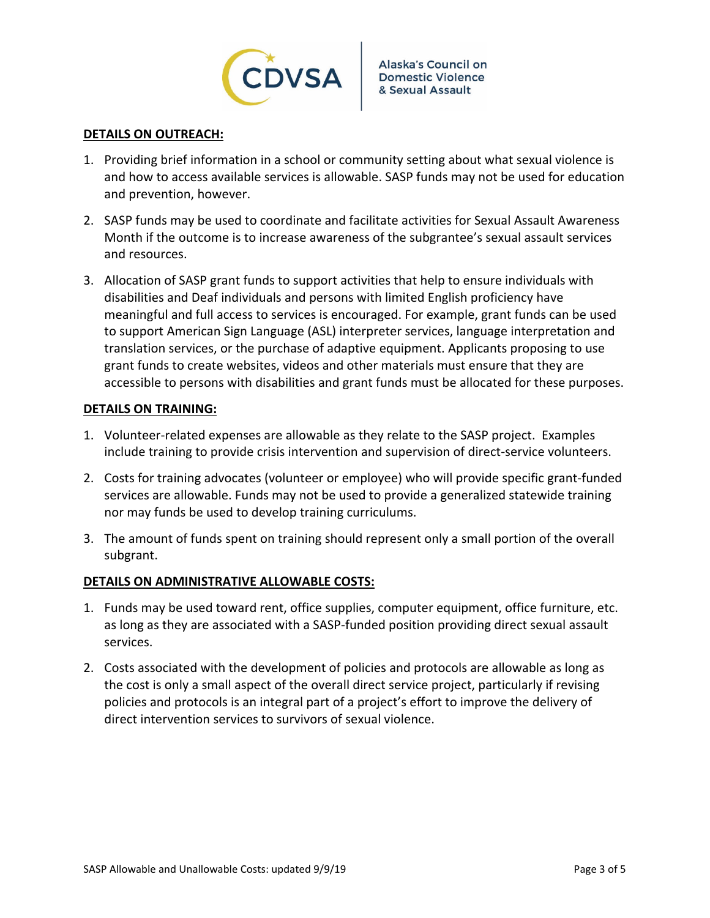

#### **DETAILS ON OUTREACH:**

- 1. Providing brief information in a school or community setting about what sexual violence is and how to access available services is allowable. SASP funds may not be used for education and prevention, however.
- 2. SASP funds may be used to coordinate and facilitate activities for Sexual Assault Awareness Month if the outcome is to increase awareness of the subgrantee's sexual assault services and resources.
- 3. Allocation of SASP grant funds to support activities that help to ensure individuals with disabilities and Deaf individuals and persons with limited English proficiency have meaningful and full access to services is encouraged. For example, grant funds can be used to support American Sign Language (ASL) interpreter services, language interpretation and translation services, or the purchase of adaptive equipment. Applicants proposing to use grant funds to create websites, videos and other materials must ensure that they are accessible to persons with disabilities and grant funds must be allocated for these purposes.

#### **DETAILS ON TRAINING:**

- 1. Volunteer‐related expenses are allowable as they relate to the SASP project. Examples include training to provide crisis intervention and supervision of direct‐service volunteers.
- 2. Costs for training advocates (volunteer or employee) who will provide specific grant-funded services are allowable. Funds may not be used to provide a generalized statewide training nor may funds be used to develop training curriculums.
- 3. The amount of funds spent on training should represent only a small portion of the overall subgrant.

#### **DETAILS ON ADMINISTRATIVE ALLOWABLE COSTS:**

- 1. Funds may be used toward rent, office supplies, computer equipment, office furniture, etc. as long as they are associated with a SASP‐funded position providing direct sexual assault services.
- 2. Costs associated with the development of policies and protocols are allowable as long as the cost is only a small aspect of the overall direct service project, particularly if revising policies and protocols is an integral part of a project's effort to improve the delivery of direct intervention services to survivors of sexual violence.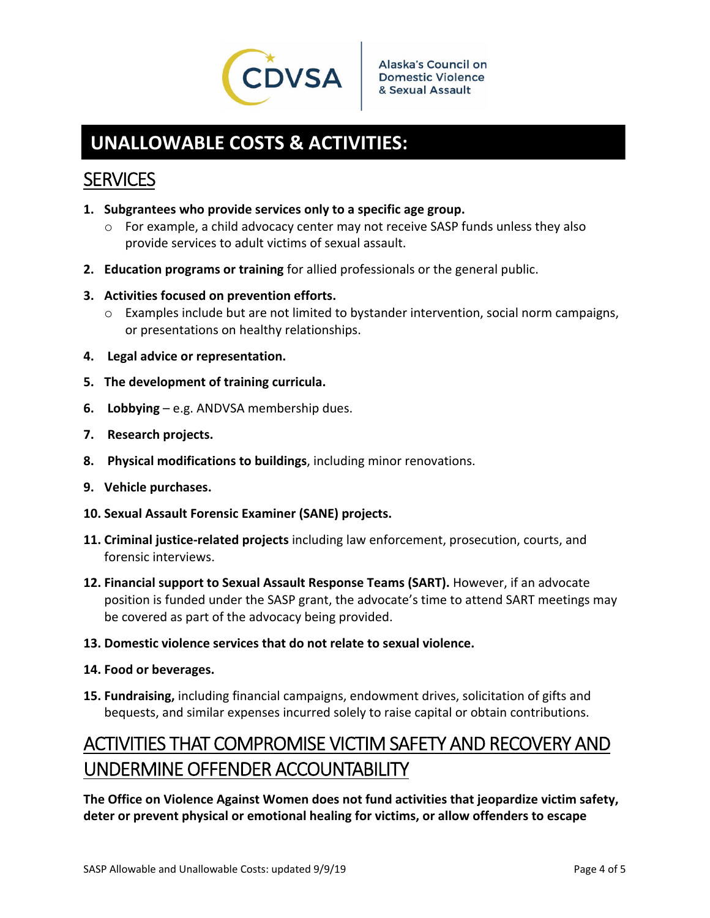

# **UNALLOWABLE COSTS & ACTIVITIES:**

## **SERVICES**

- **1. Subgrantees who provide services only to a specific age group.** 
	- $\circ$  For example, a child advocacy center may not receive SASP funds unless they also provide services to adult victims of sexual assault.
- **2. Education programs or training** for allied professionals or the general public.
- **3. Activities focused on prevention efforts.**
	- $\circ$  Examples include but are not limited to bystander intervention, social norm campaigns, or presentations on healthy relationships.
- **4. Legal advice or representation.**
- **5. The development of training curricula.**
- **6. Lobbying** e.g. ANDVSA membership dues.
- **7. Research projects.**
- **8. Physical modifications to buildings**, including minor renovations.
- **9. Vehicle purchases.**
- **10. Sexual Assault Forensic Examiner (SANE) projects.**
- **11. Criminal justice‐related projects** including law enforcement, prosecution, courts, and forensic interviews.
- **12. Financial support to Sexual Assault Response Teams (SART).** However, if an advocate position is funded under the SASP grant, the advocate's time to attend SART meetings may be covered as part of the advocacy being provided.
- **13. Domestic violence services that do not relate to sexual violence.**
- **14. Food or beverages.**
- **15. Fundraising,** including financial campaigns, endowment drives, solicitation of gifts and bequests, and similar expenses incurred solely to raise capital or obtain contributions.

# ACTIVITIES THAT COMPROMISE VICTIM SAFETY AND RECOVERY AND UNDERMINE OFFENDER ACCOUNTABILITY

**The Office on Violence Against Women does not fund activities that jeopardize victim safety, deter or prevent physical or emotional healing for victims, or allow offenders to escape**